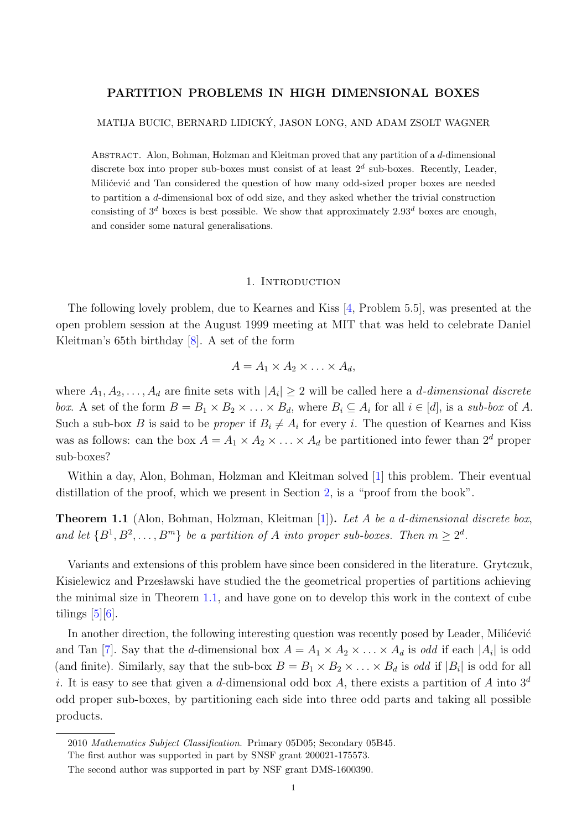# PARTITION PROBLEMS IN HIGH DIMENSIONAL BOXES

### MATIJA BUCIC, BERNARD LIDICKY, JASON LONG, AND ADAM ZSOLT WAGNER ´

Abstract. Alon, Bohman, Holzman and Kleitman proved that any partition of a d-dimensional discrete box into proper sub-boxes must consist of at least  $2^d$  sub-boxes. Recently, Leader, Milićević and Tan considered the question of how many odd-sized proper boxes are needed to partition a d-dimensional box of odd size, and they asked whether the trivial construction consisting of  $3^d$  boxes is best possible. We show that approximately  $2.93^d$  boxes are enough, and consider some natural generalisations.

### 1. INTRODUCTION

The following lovely problem, due to Kearnes and Kiss [\[4,](#page-17-0) Problem 5.5], was presented at the open problem session at the August 1999 meeting at MIT that was held to celebrate Daniel Kleitman's 65th birthday [\[8\]](#page-17-1). A set of the form

$$
A = A_1 \times A_2 \times \ldots \times A_d,
$$

where  $A_1, A_2, \ldots, A_d$  are finite sets with  $|A_i| \geq 2$  will be called here a *d*-dimensional discrete box. A set of the form  $B = B_1 \times B_2 \times \ldots \times B_d$ , where  $B_i \subseteq A_i$  for all  $i \in [d]$ , is a sub-box of A. Such a sub-box B is said to be *proper* if  $B_i \neq A_i$  for every i. The question of Kearnes and Kiss was as follows: can the box  $A = A_1 \times A_2 \times \ldots \times A_d$  be partitioned into fewer than  $2^d$  proper sub-boxes?

Within a day, Alon, Bohman, Holzman and Kleitman solved [\[1\]](#page-16-0) this problem. Their eventual distillation of the proof, which we present in Section [2,](#page-3-0) is a "proof from the book".

<span id="page-0-0"></span>**Theorem 1.1** (Alon, Bohman, Holzman, Kleitman [\[1\]](#page-16-0)). Let A be a d-dimensional discrete box, and let  $\{B^1, B^2, \ldots, B^m\}$  be a partition of A into proper sub-boxes. Then  $m \geq 2^d$ .

Variants and extensions of this problem have since been considered in the literature. Grytczuk, Kisielewicz and Przesławski have studied the the geometrical properties of partitions achieving the minimal size in Theorem [1.1,](#page-0-0) and have gone on to develop this work in the context of cube tilings  $[5][6]$  $[5][6]$ .

In another direction, the following interesting question was recently posed by Leader, Milićević and Tan [\[7\]](#page-17-4). Say that the *d*-dimensional box  $A = A_1 \times A_2 \times \ldots \times A_d$  is *odd* if each  $|A_i|$  is odd (and finite). Similarly, say that the sub-box  $B = B_1 \times B_2 \times \ldots \times B_d$  is odd if  $|B_i|$  is odd for all i. It is easy to see that given a d-dimensional odd box A, there exists a partition of A into  $3^d$ odd proper sub-boxes, by partitioning each side into three odd parts and taking all possible products.

<sup>2010</sup> Mathematics Subject Classification. Primary 05D05; Secondary 05B45.

The first author was supported in part by SNSF grant 200021-175573.

The second author was supported in part by NSF grant DMS-1600390.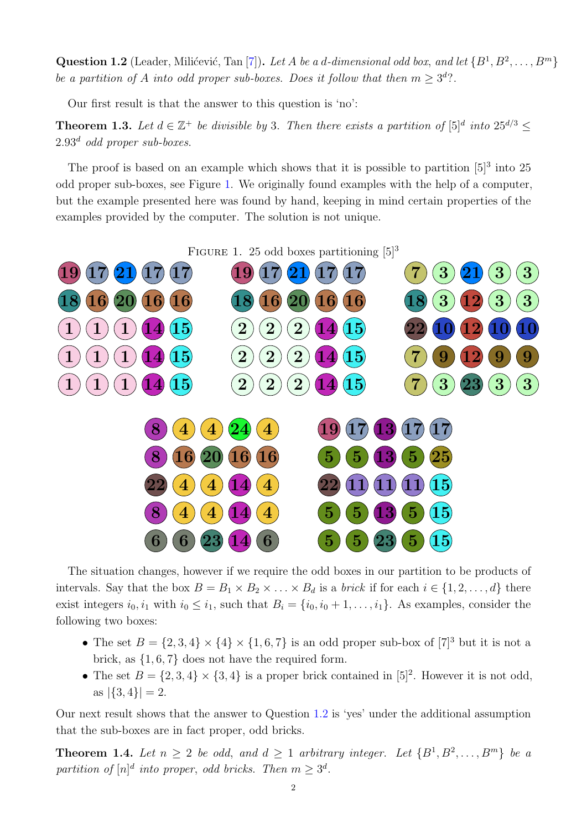<span id="page-1-1"></span>**Question 1.2** (Leader, Milićević, Tan [\[7\]](#page-17-4)). Let A be a d-dimensional odd box, and let  $\{B^1, B^2, \ldots, B^m\}$ be a partition of A into odd proper sub-boxes. Does it follow that then  $m \geq 3^d$ ?.

Our first result is that the answer to this question is 'no':

<span id="page-1-2"></span>**Theorem 1.3.** Let  $d \in \mathbb{Z}^+$  be divisible by 3. Then there exists a partition of  $[5]^d$  into  $25^{d/3} \leq$  $2.93<sup>d</sup>$  odd proper sub-boxes.

The proof is based on an example which shows that it is possible to partition  $[5]^3$  into 25 odd proper sub-boxes, see Figure [1.](#page-1-0) We originally found examples with the help of a computer, but the example presented here was found by hand, keeping in mind certain properties of the examples provided by the computer. The solution is not unique.

FIGURE 1. 25 odd boxes partitioning  $[5]^3$ 

<span id="page-1-0"></span>

The situation changes, however if we require the odd boxes in our partition to be products of intervals. Say that the box  $B = B_1 \times B_2 \times \ldots \times B_d$  is a *brick* if for each  $i \in \{1, 2, \ldots, d\}$  there exist integers  $i_0, i_1$  with  $i_0 \leq i_1$ , such that  $B_i = \{i_0, i_0 + 1, \ldots, i_1\}$ . As examples, consider the following two boxes:

- The set  $B = \{2, 3, 4\} \times \{4\} \times \{1, 6, 7\}$  is an odd proper sub-box of  $[7]^3$  but it is not a brick, as {1, 6, 7} does not have the required form.
- The set  $B = \{2, 3, 4\} \times \{3, 4\}$  is a proper brick contained in  $[5]^2$ . However it is not odd, as  $|\{3,4\}| = 2$ .

Our next result shows that the answer to Question [1.2](#page-1-1) is 'yes' under the additional assumption that the sub-boxes are in fact proper, odd bricks.

<span id="page-1-3"></span>**Theorem 1.4.** Let  $n \geq 2$  be odd, and  $d \geq 1$  arbitrary integer. Let  $\{B^1, B^2, \ldots, B^m\}$  be a partition of  $[n]^d$  into proper, odd bricks. Then  $m \geq 3^d$ .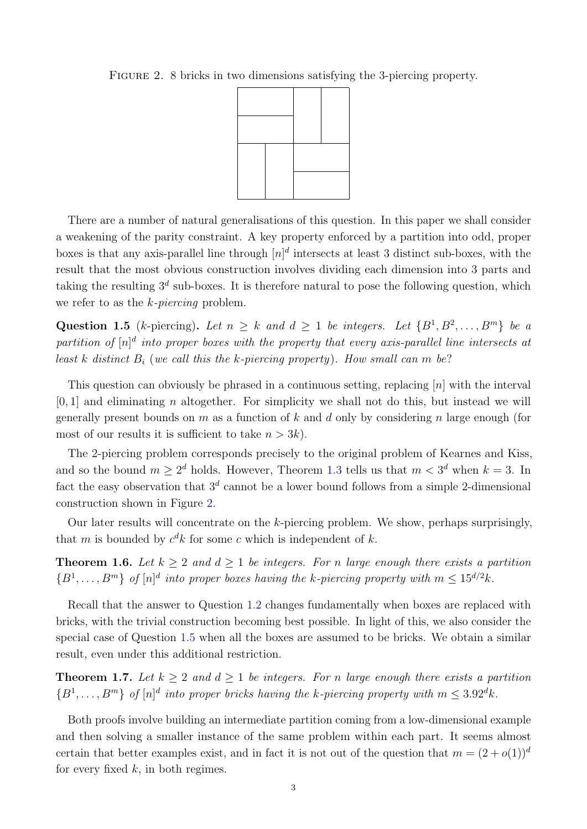<span id="page-2-0"></span>Figure 2. 8 bricks in two dimensions satisfying the 3-piercing property.



There are a number of natural generalisations of this question. In this paper we shall consider a weakening of the parity constraint. A key property enforced by a partition into odd, proper boxes is that any axis-parallel line through  $[n]^d$  intersects at least 3 distinct sub-boxes, with the result that the most obvious construction involves dividing each dimension into 3 parts and taking the resulting  $3^d$  sub-boxes. It is therefore natural to pose the following question, which we refer to as the  $k$ -piercing problem.

<span id="page-2-1"></span>Question 1.5 (k-piercing). Let  $n \geq k$  and  $d \geq 1$  be integers. Let  $\{B^1, B^2, \ldots, B^m\}$  be a partition of  $[n]^d$  into proper boxes with the property that every axis-parallel line intersects at least k distinct  $B_i$  (we call this the k-piercing property). How small can m be?

This question can obviously be phrased in a continuous setting, replacing  $[n]$  with the interval  $[0, 1]$  and eliminating *n* altogether. For simplicity we shall not do this, but instead we will generally present bounds on m as a function of k and d only by considering n large enough (for most of our results it is sufficient to take  $n > 3k$ .

The 2-piercing problem corresponds precisely to the original problem of Kearnes and Kiss, and so the bound  $m \geq 2^d$  holds. However, Theorem [1.3](#page-1-2) tells us that  $m < 3^d$  when  $k = 3$ . In fact the easy observation that  $3<sup>d</sup>$  cannot be a lower bound follows from a simple 2-dimensional construction shown in Figure [2.](#page-2-0)

Our later results will concentrate on the  $k$ -piercing problem. We show, perhaps surprisingly, that m is bounded by  $c^d k$  for some c which is independent of k.

<span id="page-2-2"></span>**Theorem 1.6.** Let  $k \geq 2$  and  $d \geq 1$  be integers. For n large enough there exists a partition  ${B^1,\ldots,B^m}$  of  $[n]^d$  into proper boxes having the k-piercing property with  $m \leq 15^{d/2}k$ .

Recall that the answer to Question [1.2](#page-1-1) changes fundamentally when boxes are replaced with bricks, with the trivial construction becoming best possible. In light of this, we also consider the special case of Question [1.5](#page-2-1) when all the boxes are assumed to be bricks. We obtain a similar result, even under this additional restriction.

<span id="page-2-3"></span>**Theorem 1.7.** Let  $k \geq 2$  and  $d \geq 1$  be integers. For n large enough there exists a partition  ${B^1,\ldots,B^m}$  of  $[n]^d$  into proper bricks having the k-piercing property with  $m \leq 3.92^d k$ .

Both proofs involve building an intermediate partition coming from a low-dimensional example and then solving a smaller instance of the same problem within each part. It seems almost certain that better examples exist, and in fact it is not out of the question that  $m = (2 + o(1))^d$ for every fixed  $k$ , in both regimes.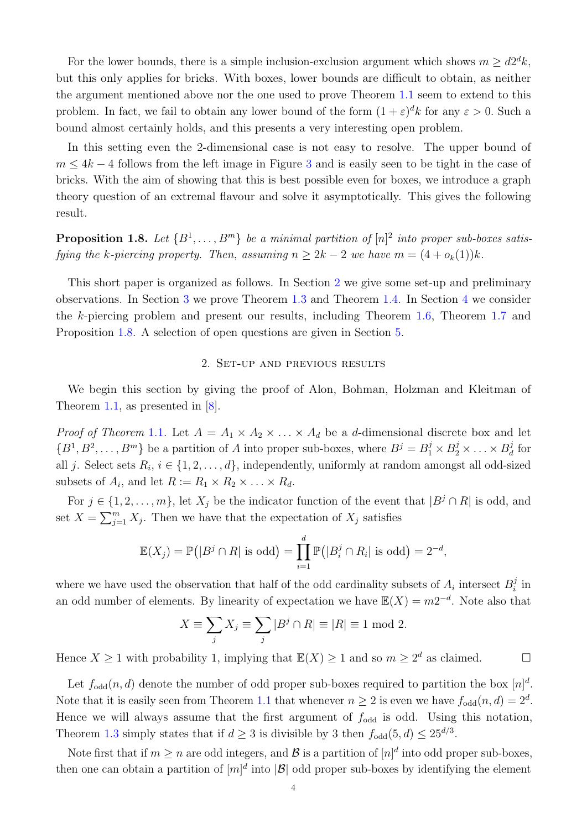For the lower bounds, there is a simple inclusion-exclusion argument which shows  $m \geq d2^d k$ , but this only applies for bricks. With boxes, lower bounds are difficult to obtain, as neither the argument mentioned above nor the one used to prove Theorem [1.1](#page-0-0) seem to extend to this problem. In fact, we fail to obtain any lower bound of the form  $(1 + \varepsilon)^d k$  for any  $\varepsilon > 0$ . Such a bound almost certainly holds, and this presents a very interesting open problem.

In this setting even the 2-dimensional case is not easy to resolve. The upper bound of  $m \leq 4k-4$  follows from the left image in Figure [3](#page-8-0) and is easily seen to be tight in the case of bricks. With the aim of showing that this is best possible even for boxes, we introduce a graph theory question of an extremal flavour and solve it asymptotically. This gives the following result.

<span id="page-3-1"></span>**Proposition 1.8.** Let  $\{B^1, \ldots, B^m\}$  be a minimal partition of  $[n]^2$  into proper sub-boxes satisfying the k-piercing property. Then, assuming  $n \geq 2k - 2$  we have  $m = (4 + o_k(1))k$ .

This short paper is organized as follows. In Section [2](#page-3-0) we give some set-up and preliminary observations. In Section [3](#page-4-0) we prove Theorem [1.3](#page-1-2) and Theorem [1.4.](#page-1-3) In Section [4](#page-6-0) we consider the k-piercing problem and present our results, including Theorem [1.6,](#page-2-2) Theorem [1.7](#page-2-3) and Proposition [1.8.](#page-3-1) A selection of open questions are given in Section [5.](#page-15-0)

## 2. Set-up and previous results

<span id="page-3-0"></span>We begin this section by giving the proof of Alon, Bohman, Holzman and Kleitman of Theorem [1.1,](#page-0-0) as presented in [\[8\]](#page-17-1).

*Proof of Theorem* [1.1.](#page-0-0) Let  $A = A_1 \times A_2 \times \ldots \times A_d$  be a *d*-dimensional discrete box and let  $\{B^1, B^2, \ldots, B^m\}$  be a partition of A into proper sub-boxes, where  $B^j = B_1^j \times B_2^j \times \ldots \times B_d^j$  $\frac{d}{d}$  for all j. Select sets  $R_i$ ,  $i \in \{1, 2, ..., d\}$ , independently, uniformly at random amongst all odd-sized subsets of  $A_i$ , and let  $R := R_1 \times R_2 \times \ldots \times R_d$ .

For  $j \in \{1, 2, \ldots, m\}$ , let  $X_j$  be the indicator function of the event that  $|B^j \cap R|$  is odd, and set  $X = \sum_{j=1}^{m} X_j$ . Then we have that the expectation of  $X_j$  satisfies

$$
\mathbb{E}(X_j) = \mathbb{P}(|B^j \cap R| \text{ is odd}) = \prod_{i=1}^d \mathbb{P}(|B_i^j \cap R_i| \text{ is odd}) = 2^{-d},
$$

where we have used the observation that half of the odd cardinality subsets of  $A_i$  intersect  $B_i^j$  $\int_i^j$  in an odd number of elements. By linearity of expectation we have  $\mathbb{E}(X) = m2^{-d}$ . Note also that

$$
X \equiv \sum_{j} X_j \equiv \sum_{j} |B^j \cap R| \equiv |R| \equiv 1 \text{ mod } 2.
$$

Hence  $X \ge 1$  with probability 1, implying that  $\mathbb{E}(X) \ge 1$  and so  $m \ge 2^d$  as claimed.

Let  $f_{odd}(n, d)$  denote the number of odd proper sub-boxes required to partition the box  $[n]^d$ . Note that it is easily seen from Theorem [1.1](#page-0-0) that whenever  $n \geq 2$  is even we have  $f_{odd}(n, d) = 2^d$ . Hence we will always assume that the first argument of  $f_{odd}$  is odd. Using this notation, Theorem [1.3](#page-1-2) simply states that if  $d \geq 3$  is divisible by 3 then  $f_{odd}(5, d) \leq 25^{d/3}$ .

Note first that if  $m \geq n$  are odd integers, and  $\mathcal{B}$  is a partition of  $[n]^d$  into odd proper sub-boxes, then one can obtain a partition of  $[m]^d$  into  $|\mathcal{B}|$  odd proper sub-boxes by identifying the element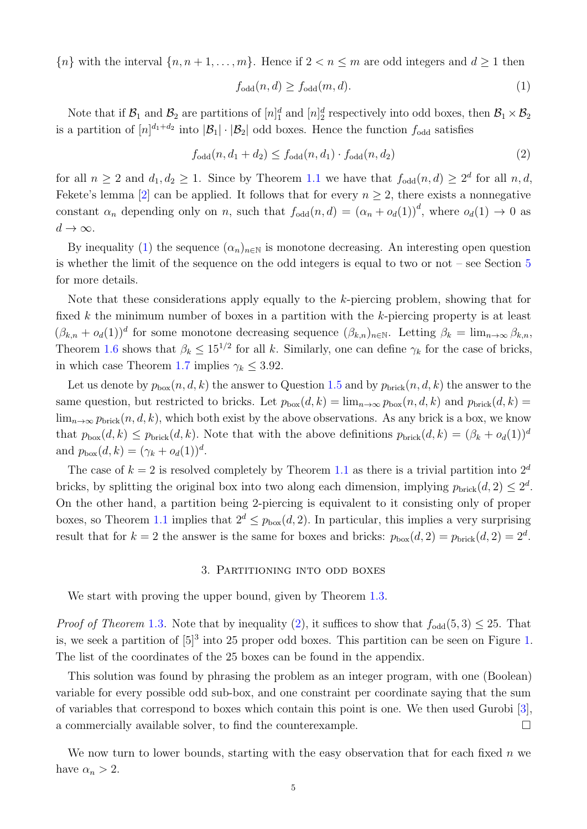${n \choose n}$  with the interval  ${n, n+1, \ldots, m}$ . Hence if  $2 < n \le m$  are odd integers and  $d \ge 1$  then

<span id="page-4-1"></span>
$$
f_{\text{odd}}(n,d) \ge f_{\text{odd}}(m,d). \tag{1}
$$

Note that if  $B_1$  and  $B_2$  are partitions of  $[n]_1^d$  and  $[n]_2^d$  respectively into odd boxes, then  $B_1 \times B_2$ is a partition of  $[n]^{d_1+d_2}$  into  $|\mathcal{B}_1|\cdot|\mathcal{B}_2|$  odd boxes. Hence the function  $f_{odd}$  satisfies

<span id="page-4-2"></span>
$$
f_{\text{odd}}(n, d_1 + d_2) \le f_{\text{odd}}(n, d_1) \cdot f_{\text{odd}}(n, d_2)
$$
\n
$$
(2)
$$

for all  $n \geq 2$  and  $d_1, d_2 \geq 1$ . Since by Theorem [1.1](#page-0-0) we have that  $f_{odd}(n,d) \geq 2^d$  for all  $n, d$ , Fekete's lemma [\[2\]](#page-16-1) can be applied. It follows that for every  $n \geq 2$ , there exists a nonnegative constant  $\alpha_n$  depending only on n, such that  $f_{odd}(n,d) = (\alpha_n + o_d(1))$ <sup>d</sup>, where  $o_d(1) \to 0$  as  $d \to \infty$ .

By inequality [\(1\)](#page-4-1) the sequence  $(\alpha_n)_{n\in\mathbb{N}}$  is monotone decreasing. An interesting open question is whether the limit of the sequence on the odd integers is equal to two or not – see Section [5](#page-15-0) for more details.

Note that these considerations apply equally to the k-piercing problem, showing that for fixed  $k$  the minimum number of boxes in a partition with the  $k$ -piercing property is at least  $(\beta_{k,n} + o_d(1))^d$  for some monotone decreasing sequence  $(\beta_{k,n})_{n \in \mathbb{N}}$ . Letting  $\beta_k = \lim_{n \to \infty} \beta_{k,n}$ , Theorem [1.6](#page-2-2) shows that  $\beta_k \leq 15^{1/2}$  for all k. Similarly, one can define  $\gamma_k$  for the case of bricks, in which case Theorem [1.7](#page-2-3) implies  $\gamma_k \leq 3.92$ .

Let us denote by  $p_{\text{box}}(n, d, k)$  the answer to Question [1.5](#page-2-1) and by  $p_{\text{brick}}(n, d, k)$  the answer to the same question, but restricted to bricks. Let  $p_{\text{box}}(d, k) = \lim_{n\to\infty} p_{\text{box}}(n, d, k)$  and  $p_{\text{brick}}(d, k) =$  $\lim_{n\to\infty} p_{\text{brick}}(n, d, k)$ , which both exist by the above observations. As any brick is a box, we know that  $p_{\text{box}}(d, k) \leq p_{\text{brick}}(d, k)$ . Note that with the above definitions  $p_{\text{brick}}(d, k) = (\beta_k + o_d(1))^d$ and  $p_{\text{box}}(d, k) = (\gamma_k + o_d(1))^d$ .

The case of  $k = 2$  is resolved completely by Theorem [1.1](#page-0-0) as there is a trivial partition into  $2^d$ bricks, by splitting the original box into two along each dimension, implying  $p_{\text{brick}}(d, 2) \leq 2^d$ . On the other hand, a partition being 2-piercing is equivalent to it consisting only of proper boxes, so Theorem [1.1](#page-0-0) implies that  $2^d \leq p_{\text{box}}(d, 2)$ . In particular, this implies a very surprising result that for  $k = 2$  the answer is the same for boxes and bricks:  $p_{\text{box}}(d, 2) = p_{\text{brick}}(d, 2) = 2^d$ .

### 3. Partitioning into odd boxes

<span id="page-4-0"></span>We start with proving the upper bound, given by Theorem [1.3.](#page-1-2)

*Proof of Theorem* [1.3.](#page-1-2) Note that by inequality [\(2\)](#page-4-2), it suffices to show that  $f_{odd}(5,3) \leq 25$ . That is, we seek a partition of  $[5]^3$  into 25 proper odd boxes. This partition can be seen on Figure [1.](#page-1-0) The list of the coordinates of the 25 boxes can be found in the appendix.

This solution was found by phrasing the problem as an integer program, with one (Boolean) variable for every possible odd sub-box, and one constraint per coordinate saying that the sum of variables that correspond to boxes which contain this point is one. We then used Gurobi [\[3\]](#page-17-5), a commercially available solver, to find the counterexample.

We now turn to lower bounds, starting with the easy observation that for each fixed  $n$  we have  $\alpha_n > 2$ .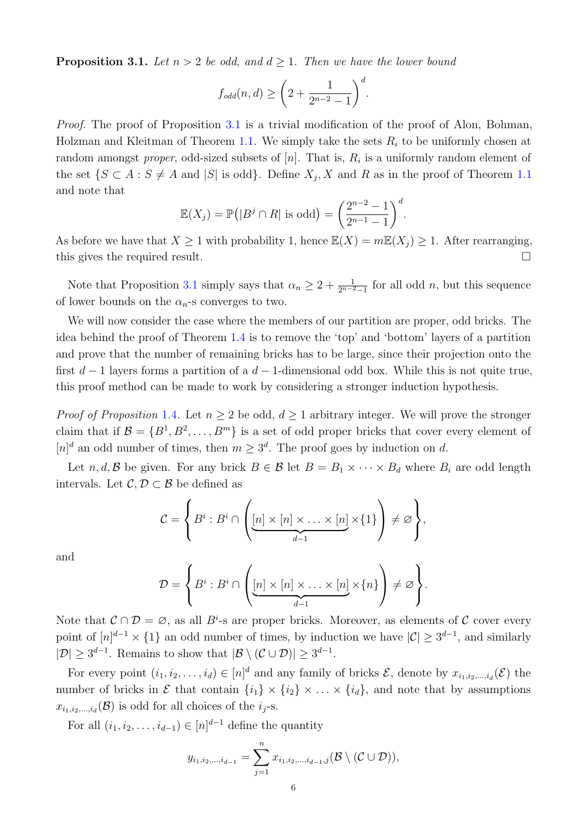<span id="page-5-0"></span>**Proposition 3.1.** Let  $n > 2$  be odd, and  $d \ge 1$ . Then we have the lower bound

$$
f_{odd}(n,d) \ge \left(2 + \frac{1}{2^{n-2} - 1}\right)^d.
$$

Proof. The proof of Proposition [3.1](#page-5-0) is a trivial modification of the proof of Alon, Bohman, Holzman and Kleitman of Theorem [1.1.](#page-0-0) We simply take the sets  $R_i$  to be uniformly chosen at random amongst *proper*, odd-sized subsets of  $[n]$ . That is,  $R_i$  is a uniformly random element of the set  $\{S \subset A : S \neq A \text{ and } |S| \text{ is odd}\}\$ . Define  $X_j, X$  and R as in the proof of Theorem [1.1](#page-0-0) and note that

$$
\mathbb{E}(X_j) = \mathbb{P}\big(|B^j \cap R| \text{ is odd}\big) = \bigg(\frac{2^{n-2}-1}{2^{n-1}-1}\bigg)^d.
$$

As before we have that  $X \geq 1$  with probability 1, hence  $\mathbb{E}(X) = m\mathbb{E}(X_j) \geq 1$ . After rearranging, this gives the required result.

Note that Proposition [3.1](#page-5-0) simply says that  $\alpha_n \geq 2 + \frac{1}{2^{n-2}-1}$  for all odd n, but this sequence of lower bounds on the  $\alpha_n$ -s converges to two.

We will now consider the case where the members of our partition are proper, odd bricks. The idea behind the proof of Theorem [1.4](#page-1-3) is to remove the 'top' and 'bottom' layers of a partition and prove that the number of remaining bricks has to be large, since their projection onto the first  $d-1$  layers forms a partition of a  $d-1$ -dimensional odd box. While this is not quite true, this proof method can be made to work by considering a stronger induction hypothesis.

*Proof of Proposition* [1.4.](#page-1-3) Let  $n > 2$  be odd,  $d > 1$  arbitrary integer. We will prove the stronger claim that if  $\mathcal{B} = \{B^1, B^2, \ldots, B^m\}$  is a set of odd proper bricks that cover every element of  $[n]^d$  an odd number of times, then  $m \geq 3^d$ . The proof goes by induction on d.

Let n, d, B be given. For any brick  $B \in \mathcal{B}$  let  $B = B_1 \times \cdots \times B_d$  where  $B_i$  are odd length intervals. Let  $\mathcal{C}, \mathcal{D} \subset \mathcal{B}$  be defined as

$$
\mathcal{C} = \left\{ B^i : B^i \cap \left( \underbrace{[n] \times [n] \times \ldots \times [n]}_{d-1} \times \{1\} \right) \neq \varnothing \right\},\
$$

and

$$
\mathcal{D} = \left\{ B^i : B^i \cap \left( \underbrace{[n] \times [n] \times \ldots \times [n]}_{d-1} \times \{n\} \right) \neq \varnothing \right\}.
$$

Note that  $\mathcal{C} \cap \mathcal{D} = \emptyset$ , as all  $B^i$ -s are proper bricks. Moreover, as elements of  $\mathcal{C}$  cover every point of  $[n]^{d-1} \times \{1\}$  an odd number of times, by induction we have  $|\mathcal{C}| \geq 3^{d-1}$ , and similarly  $|\mathcal{D}| \geq 3^{d-1}$ . Remains to show that  $|\mathcal{B} \setminus (\mathcal{C} \cup \mathcal{D})| \geq 3^{d-1}$ .

For every point  $(i_1, i_2, \ldots, i_d) \in [n]^d$  and any family of bricks  $\mathcal{E}$ , denote by  $x_{i_1, i_2, \ldots, i_d}(\mathcal{E})$  the number of bricks in  $\mathcal E$  that contain  $\{i_1\} \times \{i_2\} \times \ldots \times \{i_d\}$ , and note that by assumptions  $x_{i_1,i_2,\dots,i_d}(\mathcal{B})$  is odd for all choices of the  $i_j$ -s.

For all  $(i_1, i_2, \ldots, i_{d-1}) \in [n]^{d-1}$  define the quantity

$$
y_{i_1,i_2,...,i_{d-1}} = \sum_{j=1}^n x_{i_1,i_2,...,i_{d-1},j}(\mathcal{B} \setminus (\mathcal{C} \cup \mathcal{D})),
$$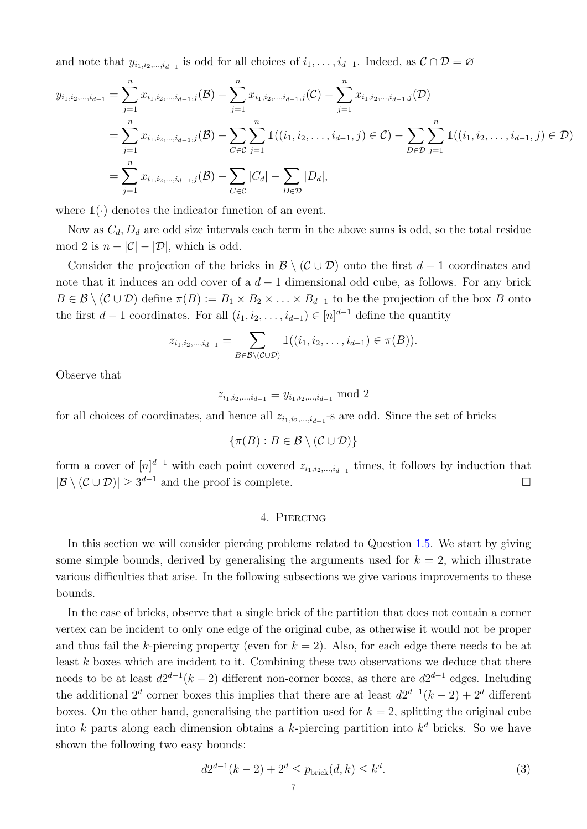and note that  $y_{i_1,i_2,...,i_{d-1}}$  is odd for all choices of  $i_1,...,i_{d-1}$ . Indeed, as  $\mathcal{C} \cap \mathcal{D} = \emptyset$ 

$$
y_{i_1,i_2,\dots,i_{d-1}} = \sum_{j=1}^n x_{i_1,i_2,\dots,i_{d-1},j}(\mathcal{B}) - \sum_{j=1}^n x_{i_1,i_2,\dots,i_{d-1},j}(\mathcal{C}) - \sum_{j=1}^n x_{i_1,i_2,\dots,i_{d-1},j}(\mathcal{D})
$$
  
\n
$$
= \sum_{j=1}^n x_{i_1,i_2,\dots,i_{d-1},j}(\mathcal{B}) - \sum_{C \in \mathcal{C}} \sum_{j=1}^n \mathbb{1}((i_1,i_2,\dots,i_{d-1},j) \in \mathcal{C}) - \sum_{D \in \mathcal{D}} \sum_{j=1}^n \mathbb{1}((i_1,i_2,\dots,i_{d-1},j) \in \mathcal{D})
$$
  
\n
$$
= \sum_{j=1}^n x_{i_1,i_2,\dots,i_{d-1},j}(\mathcal{B}) - \sum_{C \in \mathcal{C}} |C_d| - \sum_{D \in \mathcal{D}} |D_d|,
$$

where  $\mathbb{1}(\cdot)$  denotes the indicator function of an event.

Now as  $C_d$ ,  $D_d$  are odd size intervals each term in the above sums is odd, so the total residue mod 2 is  $n - |\mathcal{C}| - |\mathcal{D}|$ , which is odd.

Consider the projection of the bricks in  $\mathcal{B} \setminus (\mathcal{C} \cup \mathcal{D})$  onto the first  $d-1$  coordinates and note that it induces an odd cover of a  $d-1$  dimensional odd cube, as follows. For any brick  $B \in \mathcal{B} \setminus (\mathcal{C} \cup \mathcal{D})$  define  $\pi(B) := B_1 \times B_2 \times \ldots \times B_{d-1}$  to be the projection of the box B onto the first  $d-1$  coordinates. For all  $(i_1, i_2, \ldots, i_{d-1}) \in [n]^{d-1}$  define the quantity

$$
z_{i_1,i_2,\dots,i_{d-1}} = \sum_{B \in \mathcal{B} \setminus (\mathcal{C} \cup \mathcal{D})} \mathbb{1}((i_1,i_2,\dots,i_{d-1}) \in \pi(B)).
$$

Observe that

$$
z_{i_1,i_2,\dots,i_{d-1}} \equiv y_{i_1,i_2,\dots,i_{d-1}} \mod 2
$$

for all choices of coordinates, and hence all  $z_{i_1,i_2,\dots,i_{d-1}}$ -s are odd. Since the set of bricks

$$
\{\pi(B) : B \in \mathcal{B} \setminus (\mathcal{C} \cup \mathcal{D})\}
$$

form a cover of  $[n]^{d-1}$  with each point covered  $z_{i_1,i_2,\dots,i_{d-1}}$  times, it follows by induction that  $|\mathcal{B} \setminus (\mathcal{C} \cup \mathcal{D})| \geq 3^{d-1}$  and the proof is complete.

# 4. Piercing

<span id="page-6-0"></span>In this section we will consider piercing problems related to Question [1.5.](#page-2-1) We start by giving some simple bounds, derived by generalising the arguments used for  $k = 2$ , which illustrate various difficulties that arise. In the following subsections we give various improvements to these bounds.

In the case of bricks, observe that a single brick of the partition that does not contain a corner vertex can be incident to only one edge of the original cube, as otherwise it would not be proper and thus fail the k-piercing property (even for  $k = 2$ ). Also, for each edge there needs to be at least k boxes which are incident to it. Combining these two observations we deduce that there needs to be at least  $d2^{d-1}(k-2)$  different non-corner boxes, as there are  $d2^{d-1}$  edges. Including the additional 2<sup>d</sup> corner boxes this implies that there are at least  $d2^{d-1}(k-2) + 2^d$  different boxes. On the other hand, generalising the partition used for  $k = 2$ , splitting the original cube into k parts along each dimension obtains a k-piercing partition into  $k^d$  bricks. So we have shown the following two easy bounds:

<span id="page-6-1"></span>
$$
d2^{d-1}(k-2) + 2^d \le p_{\text{brick}}(d,k) \le k^d. \tag{3}
$$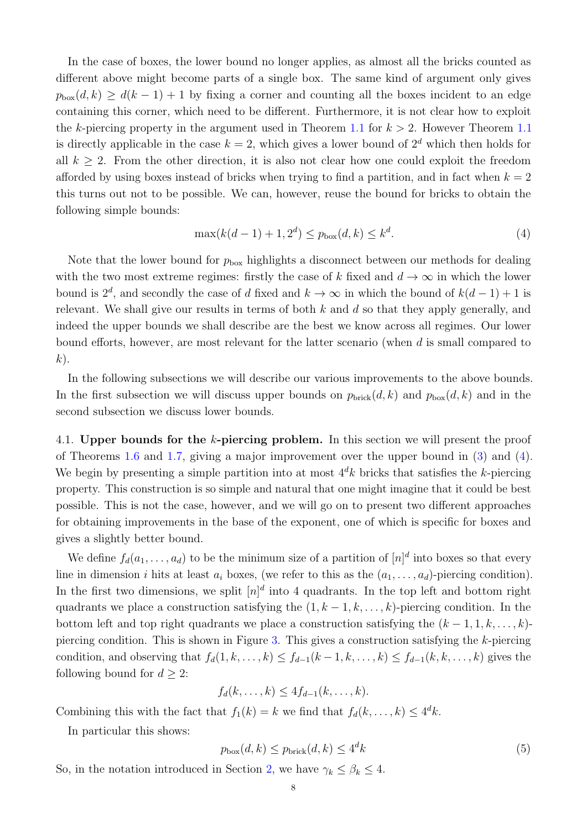In the case of boxes, the lower bound no longer applies, as almost all the bricks counted as different above might become parts of a single box. The same kind of argument only gives  $p_{\text{box}}(d, k) \geq d(k-1) + 1$  by fixing a corner and counting all the boxes incident to an edge containing this corner, which need to be different. Furthermore, it is not clear how to exploit the k-piercing property in the argument used in Theorem [1.1](#page-0-0) for  $k > 2$ . However Theorem 1.1 is directly applicable in the case  $k = 2$ , which gives a lower bound of  $2<sup>d</sup>$  which then holds for all  $k \geq 2$ . From the other direction, it is also not clear how one could exploit the freedom afforded by using boxes instead of bricks when trying to find a partition, and in fact when  $k = 2$ this turns out not to be possible. We can, however, reuse the bound for bricks to obtain the following simple bounds:

<span id="page-7-0"></span>
$$
\max(k(d-1) + 1, 2^d) \le p_{\text{box}}(d, k) \le k^d. \tag{4}
$$

Note that the lower bound for  $p_{\text{box}}$  highlights a disconnect between our methods for dealing with the two most extreme regimes: firstly the case of k fixed and  $d \to \infty$  in which the lower bound is  $2^d$ , and secondly the case of d fixed and  $k \to \infty$  in which the bound of  $k(d-1) + 1$  is relevant. We shall give our results in terms of both  $k$  and  $d$  so that they apply generally, and indeed the upper bounds we shall describe are the best we know across all regimes. Our lower bound efforts, however, are most relevant for the latter scenario (when d is small compared to  $k$ ).

In the following subsections we will describe our various improvements to the above bounds. In the first subsection we will discuss upper bounds on  $p_{\text{brick}}(d, k)$  and  $p_{\text{box}}(d, k)$  and in the second subsection we discuss lower bounds.

4.1. Upper bounds for the k-piercing problem. In this section we will present the proof of Theorems [1.6](#page-2-2) and [1.7,](#page-2-3) giving a major improvement over the upper bound in [\(3\)](#page-6-1) and [\(4\)](#page-7-0). We begin by presenting a simple partition into at most  $4^dk$  bricks that satisfies the k-piercing property. This construction is so simple and natural that one might imagine that it could be best possible. This is not the case, however, and we will go on to present two different approaches for obtaining improvements in the base of the exponent, one of which is specific for boxes and gives a slightly better bound.

We define  $f_d(a_1, \ldots, a_d)$  to be the minimum size of a partition of  $[n]^d$  into boxes so that every line in dimension i hits at least  $a_i$  boxes, (we refer to this as the  $(a_1, \ldots, a_d)$ -piercing condition). In the first two dimensions, we split  $[n]^d$  into 4 quadrants. In the top left and bottom right quadrants we place a construction satisfying the  $(1, k-1, k, \ldots, k)$ -piercing condition. In the bottom left and top right quadrants we place a construction satisfying the  $(k-1, 1, k, \ldots, k)$ piercing condition. This is shown in Figure [3.](#page-8-0) This gives a construction satisfying the k-piercing condition, and observing that  $f_d(1, k, \ldots, k) \leq f_{d-1}(k-1, k, \ldots, k) \leq f_{d-1}(k, k, \ldots, k)$  gives the following bound for  $d > 2$ :

$$
f_d(k,\ldots,k) \leq 4f_{d-1}(k,\ldots,k).
$$

Combining this with the fact that  $f_1(k) = k$  we find that  $f_d(k, \ldots, k) \leq 4^d k$ .

In particular this shows:

<span id="page-7-1"></span>
$$
p_{\text{box}}(d,k) \le p_{\text{brick}}(d,k) \le 4^d k \tag{5}
$$

So, in the notation introduced in Section [2,](#page-3-0) we have  $\gamma_k \leq \beta_k \leq 4$ .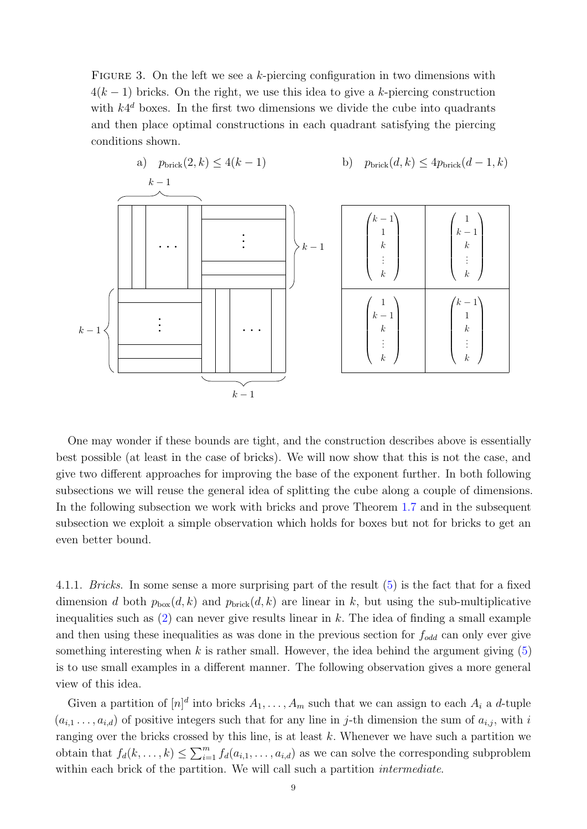<span id="page-8-0"></span>FIGURE 3. On the left we see a k-piercing configuration in two dimensions with  $4(k-1)$  bricks. On the right, we use this idea to give a k-piercing construction with  $k4^d$  boxes. In the first two dimensions we divide the cube into quadrants and then place optimal constructions in each quadrant satisfying the piercing conditions shown.



One may wonder if these bounds are tight, and the construction describes above is essentially best possible (at least in the case of bricks). We will now show that this is not the case, and give two different approaches for improving the base of the exponent further. In both following subsections we will reuse the general idea of splitting the cube along a couple of dimensions. In the following subsection we work with bricks and prove Theorem [1.7](#page-2-3) and in the subsequent subsection we exploit a simple observation which holds for boxes but not for bricks to get an even better bound.

4.1.1. Bricks. In some sense a more surprising part of the result [\(5\)](#page-7-1) is the fact that for a fixed dimension d both  $p_{\text{box}}(d, k)$  and  $p_{\text{brick}}(d, k)$  are linear in k, but using the sub-multiplicative inequalities such as  $(2)$  can never give results linear in k. The idea of finding a small example and then using these inequalities as was done in the previous section for  $f_{odd}$  can only ever give something interesting when k is rather small. However, the idea behind the argument giving  $(5)$ is to use small examples in a different manner. The following observation gives a more general view of this idea.

Given a partition of  $[n]^d$  into bricks  $A_1, \ldots, A_m$  such that we can assign to each  $A_i$  a d-tuple  $(a_{i,1},\ldots,a_{i,d})$  of positive integers such that for any line in j-th dimension the sum of  $a_{i,i}$ , with i ranging over the bricks crossed by this line, is at least  $k$ . Whenever we have such a partition we obtain that  $f_d(k, \ldots, k) \leq \sum_{i=1}^m f_d(a_{i,1}, \ldots, a_{i,d})$  as we can solve the corresponding subproblem within each brick of the partition. We will call such a partition *intermediate*.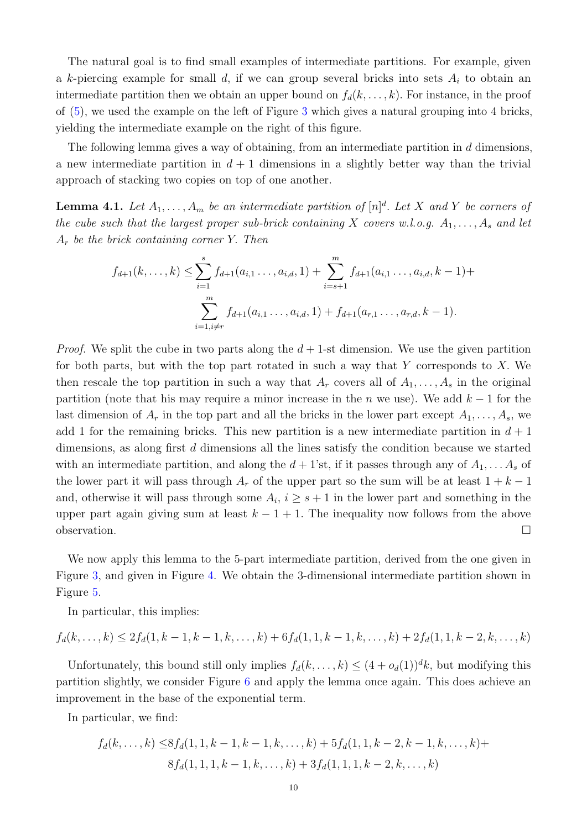The natural goal is to find small examples of intermediate partitions. For example, given a k-piercing example for small d, if we can group several bricks into sets  $A_i$  to obtain an intermediate partition then we obtain an upper bound on  $f_d(k, \ldots, k)$ . For instance, in the proof of [\(5\)](#page-7-1), we used the example on the left of Figure [3](#page-8-0) which gives a natural grouping into 4 bricks, yielding the intermediate example on the right of this figure.

The following lemma gives a way of obtaining, from an intermediate partition in  $d$  dimensions, a new intermediate partition in  $d + 1$  dimensions in a slightly better way than the trivial approach of stacking two copies on top of one another.

<span id="page-9-0"></span>**Lemma 4.1.** Let  $A_1, \ldots, A_m$  be an intermediate partition of  $[n]^d$ . Let X and Y be corners of the cube such that the largest proper sub-brick containing X covers w.l.o.g.  $A_1, \ldots, A_s$  and let  $A_r$  be the brick containing corner Y. Then

$$
f_{d+1}(k, ..., k) \leq \sum_{i=1}^{s} f_{d+1}(a_{i,1} ..., a_{i,d}, 1) + \sum_{i=s+1}^{m} f_{d+1}(a_{i,1} ..., a_{i,d}, k-1) + \sum_{i=1, i \neq r}^{m} f_{d+1}(a_{i,1} ..., a_{i,d}, 1) + f_{d+1}(a_{r,1} ..., a_{r,d}, k-1).
$$

*Proof.* We split the cube in two parts along the  $d + 1$ -st dimension. We use the given partition for both parts, but with the top part rotated in such a way that  $Y$  corresponds to  $X$ . We then rescale the top partition in such a way that  $A_r$  covers all of  $A_1, \ldots, A_s$  in the original partition (note that his may require a minor increase in the *n* we use). We add  $k - 1$  for the last dimension of  $A_r$  in the top part and all the bricks in the lower part except  $A_1, \ldots, A_s$ , we add 1 for the remaining bricks. This new partition is a new intermediate partition in  $d+1$ dimensions, as along first d dimensions all the lines satisfy the condition because we started with an intermediate partition, and along the  $d+1$ 'st, if it passes through any of  $A_1, \ldots, A_s$  of the lower part it will pass through  $A_r$  of the upper part so the sum will be at least  $1 + k - 1$ and, otherwise it will pass through some  $A_i$ ,  $i \geq s+1$  in the lower part and something in the upper part again giving sum at least  $k - 1 + 1$ . The inequality now follows from the above  $\Box$ observation.

We now apply this lemma to the 5-part intermediate partition, derived from the one given in Figure [3,](#page-8-0) and given in Figure [4.](#page-10-0) We obtain the 3-dimensional intermediate partition shown in Figure [5.](#page-10-1)

In particular, this implies:

$$
f_d(k,\ldots,k) \le 2f_d(1,k-1,k-1,k,\ldots,k) + 6f_d(1,1,k-1,k,\ldots,k) + 2f_d(1,1,k-2,k,\ldots,k)
$$

Unfortunately, this bound still only implies  $f_d(k, \ldots, k) \leq (4 + o_d(1))^d k$ , but modifying this partition slightly, we consider Figure [6](#page-10-2) and apply the lemma once again. This does achieve an improvement in the base of the exponential term.

In particular, we find:

$$
f_d(k, ..., k) \leq 8f_d(1, 1, k - 1, k - 1, k, ..., k) + 5f_d(1, 1, k - 2, k - 1, k, ..., k) + 8f_d(1, 1, 1, k - 1, k, ..., k) + 3f_d(1, 1, 1, k - 2, k, ..., k)
$$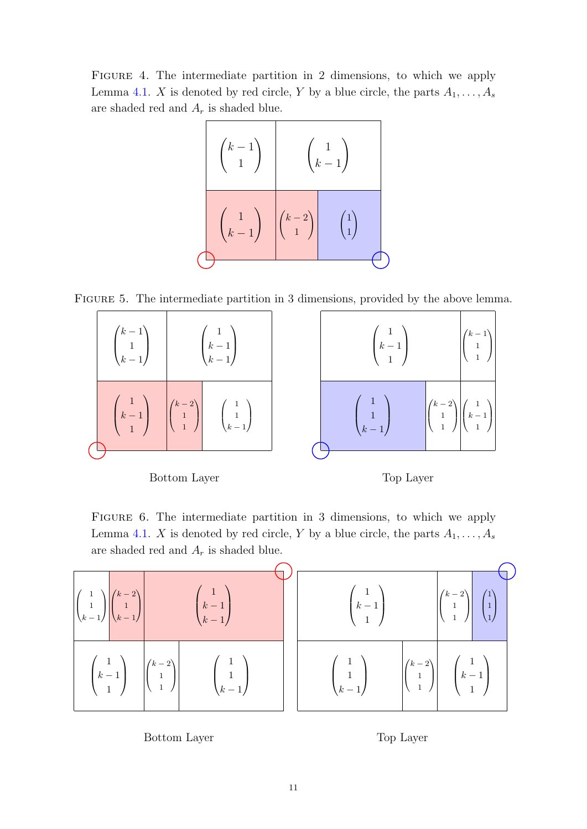<span id="page-10-0"></span>Figure 4. The intermediate partition in 2 dimensions, to which we apply Lemma [4.1.](#page-9-0) X is denoted by red circle, Y by a blue circle, the parts  $A_1, \ldots, A_s$ are shaded red and  $A_r$  is shaded blue.



<span id="page-10-1"></span>Figure 5. The intermediate partition in 3 dimensions, provided by the above lemma.



Bottom Layer

Top Layer

<span id="page-10-2"></span>FIGURE 6. The intermediate partition in 3 dimensions, to which we apply Lemma [4.1.](#page-9-0) X is denoted by red circle, Y by a blue circle, the parts  $A_1, \ldots, A_s$ are shaded red and  $A_r$  is shaded blue.



Bottom Layer

Top Layer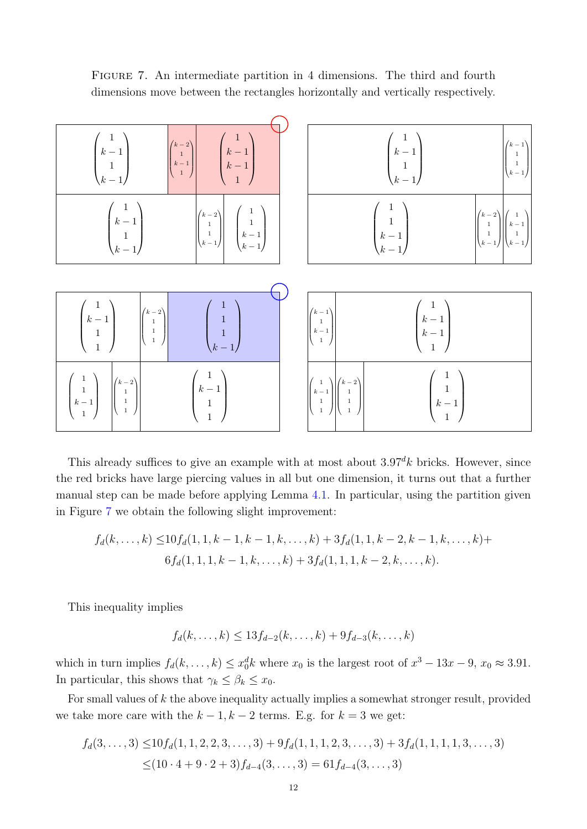<span id="page-11-0"></span>Figure 7. An intermediate partition in 4 dimensions. The third and fourth dimensions move between the rectangles horizontally and vertically respectively.



This already suffices to give an example with at most about  $3.97\%$  bricks. However, since the red bricks have large piercing values in all but one dimension, it turns out that a further manual step can be made before applying Lemma [4.1.](#page-9-0) In particular, using the partition given in Figure [7](#page-11-0) we obtain the following slight improvement:

$$
f_d(k,\ldots,k) \le 10 f_d(1,1,k-1,k-1,k,\ldots,k) + 3 f_d(1,1,k-2,k-1,k,\ldots,k) + 6 f_d(1,1,1,k-1,k,\ldots,k) + 3 f_d(1,1,1,k-2,k,\ldots,k).
$$

This inequality implies

$$
f_d(k,\ldots,k) \le 13f_{d-2}(k,\ldots,k) + 9f_{d-3}(k,\ldots,k)
$$

which in turn implies  $f_d(k, \ldots, k) \leq x_0^d k$  where  $x_0$  is the largest root of  $x^3 - 13x - 9$ ,  $x_0 \approx 3.91$ . In particular, this shows that  $\gamma_k \leq \beta_k \leq x_0$ .

For small values of  $k$  the above inequality actually implies a somewhat stronger result, provided we take more care with the  $k - 1$ ,  $k - 2$  terms. E.g. for  $k = 3$  we get:

$$
f_d(3,\ldots,3) \le 10 f_d(1,1,2,2,3,\ldots,3) + 9 f_d(1,1,1,2,3,\ldots,3) + 3 f_d(1,1,1,1,3,\ldots,3)
$$
  
 
$$
\le (10 \cdot 4 + 9 \cdot 2 + 3) f_{d-4}(3,\ldots,3) = 61 f_{d-4}(3,\ldots,3)
$$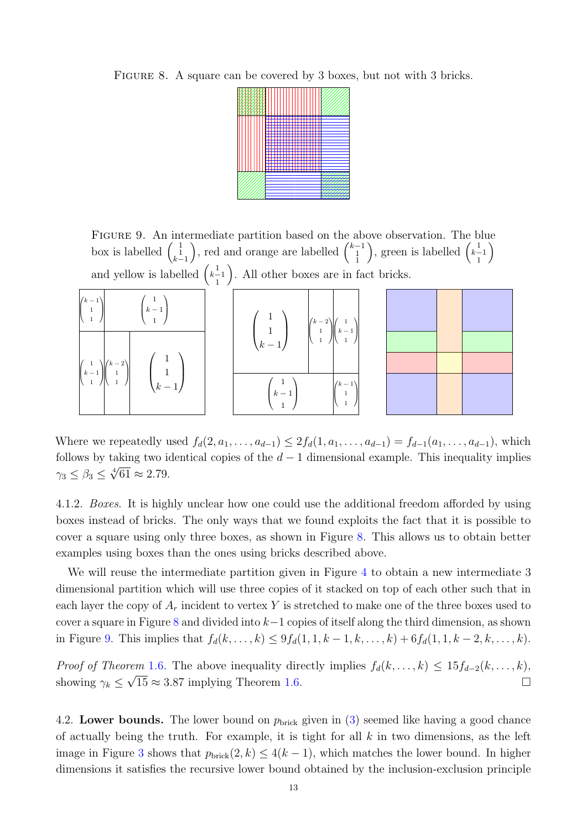<span id="page-12-0"></span>FIGURE 8. A square can be covered by 3 boxes, but not with 3 bricks.



<span id="page-12-1"></span>Figure 9. An intermediate partition based on the above observation. The blue box is labelled  $\begin{pmatrix} 1 \\ 1 \\ k-1 \end{pmatrix}$ ), red and orange are labelled  $\binom{k-1}{1}$ ), green is labelled  $\begin{pmatrix} 1 \\ k-1 \\ 1 \end{pmatrix}$  $\setminus$ and yellow is labelled  $\begin{pmatrix} 1 \\ k-1 \\ 1 \end{pmatrix}$ . All other boxes are in fact bricks.

| $\begin{pmatrix} k-1 \\ 1 \\ 1 \end{pmatrix}$<br>$k-1$                                                      | $\sqrt{1}$ | $\left k-2\right\rangle$<br>$\begin{array}{c} \begin{array}{c} \end{array} \begin{array}{c} \end{array} \begin{array}{c} \end{array} \begin{array}{c} \end{array} \begin{array}{c} \end{array} \begin{array}{c} \end{array} \begin{array}{c} \end{array} \begin{array}{c} \end{array} \begin{array}{c} \end{array} \begin{array}{c} \end{array} \begin{array}{c} \end{array} \begin{array}{c} \end{array} \begin{array}{c} \end{array} \begin{array}{c} \end{array} \begin{array}{c} \end{array} \begin{array}{c} \end{array} \begin{array}{c} \end{array} \begin{array}{c} \end$ |       |  |  |
|-------------------------------------------------------------------------------------------------------------|------------|-----------------------------------------------------------------------------------------------------------------------------------------------------------------------------------------------------------------------------------------------------------------------------------------------------------------------------------------------------------------------------------------------------------------------------------------------------------------------------------------------------------------------------------------------------------------------------------|-------|--|--|
| $\begin{pmatrix} 1 \\ k-1 \\ 1 \end{pmatrix} \begin{pmatrix} k-2 \\ 1 \\ 1 \end{pmatrix}$<br>$\overline{1}$ |            | $\begin{pmatrix} 1 \\ 1 \\ k-1 \end{pmatrix}$                                                                                                                                                                                                                                                                                                                                                                                                                                                                                                                                     |       |  |  |
| $(k-1)$                                                                                                     |            | $k-1$                                                                                                                                                                                                                                                                                                                                                                                                                                                                                                                                                                             | $k-1$ |  |  |

Where we repeatedly used  $f_d(2, a_1, \ldots, a_{d-1}) \leq 2f_d(1, a_1, \ldots, a_{d-1}) = f_{d-1}(a_1, \ldots, a_{d-1})$ , which follows by taking two identical copies of the  $d-1$  dimensional example. This inequality implies  $\gamma_3 \leq \beta_3 \leq \sqrt[4]{61} \approx 2.79.$ 

4.1.2. Boxes. It is highly unclear how one could use the additional freedom afforded by using boxes instead of bricks. The only ways that we found exploits the fact that it is possible to cover a square using only three boxes, as shown in Figure [8.](#page-12-0) This allows us to obtain better examples using boxes than the ones using bricks described above.

We will reuse the intermediate partition given in Figure [4](#page-10-0) to obtain a new intermediate 3 dimensional partition which will use three copies of it stacked on top of each other such that in each layer the copy of  $A_r$  incident to vertex Y is stretched to make one of the three boxes used to cover a square in Figure [8](#page-12-0) and divided into  $k-1$  copies of itself along the third dimension, as shown in Figure [9.](#page-12-1) This implies that  $f_d(k, ..., k) \leq 9f_d(1, 1, k-1, k, ..., k) + 6f_d(1, 1, k-2, k, ..., k)$ .

Proof of Theorem [1.6.](#page-2-2) The above inequality directly implies  $f_d(k, \ldots, k) \leq 15f_{d-2}(k, \ldots, k)$ showing  $\gamma_k \leq \sqrt{15} \approx 3.87$  implying Theorem [1.6.](#page-2-2)

4.2. Lower bounds. The lower bound on  $p_{\text{brick}}$  given in [\(3\)](#page-6-1) seemed like having a good chance of actually being the truth. For example, it is tight for all  $k$  in two dimensions, as the left image in Figure [3](#page-8-0) shows that  $p_{\text{brick}}(2, k) \leq 4(k - 1)$ , which matches the lower bound. In higher dimensions it satisfies the recursive lower bound obtained by the inclusion-exclusion principle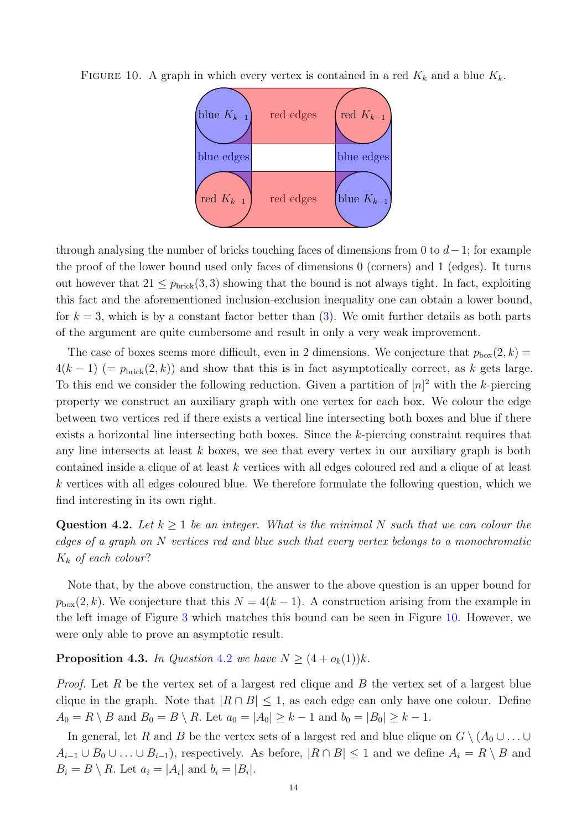

<span id="page-13-0"></span>FIGURE 10. A graph in which every vertex is contained in a red  $K_k$  and a blue  $K_k$ .

through analysing the number of bricks touching faces of dimensions from 0 to  $d-1$ ; for example the proof of the lower bound used only faces of dimensions 0 (corners) and 1 (edges). It turns out however that  $21 \leq p_{\text{brick}}(3,3)$  showing that the bound is not always tight. In fact, exploiting this fact and the aforementioned inclusion-exclusion inequality one can obtain a lower bound, for  $k = 3$ , which is by a constant factor better than  $(3)$ . We omit further details as both parts of the argument are quite cumbersome and result in only a very weak improvement.

The case of boxes seems more difficult, even in 2 dimensions. We conjecture that  $p_{\text{box}}(2, k)$  =  $4(k-1)$  (=  $p_{\text{brick}}(2, k)$ ) and show that this is in fact asymptotically correct, as k gets large. To this end we consider the following reduction. Given a partition of  $[n]^2$  with the k-piercing property we construct an auxiliary graph with one vertex for each box. We colour the edge between two vertices red if there exists a vertical line intersecting both boxes and blue if there exists a horizontal line intersecting both boxes. Since the k-piercing constraint requires that any line intersects at least  $k$  boxes, we see that every vertex in our auxiliary graph is both contained inside a clique of at least k vertices with all edges coloured red and a clique of at least k vertices with all edges coloured blue. We therefore formulate the following question, which we find interesting in its own right.

<span id="page-13-1"></span>Question 4.2. Let  $k \geq 1$  be an integer. What is the minimal N such that we can colour the edges of a graph on N vertices red and blue such that every vertex belongs to a monochromatic  $K_k$  of each colour?

Note that, by the above construction, the answer to the above question is an upper bound for  $p_{\text{box}}(2, k)$ . We conjecture that this  $N = 4(k - 1)$ . A construction arising from the example in the left image of Figure [3](#page-8-0) which matches this bound can be seen in Figure [10.](#page-13-0) However, we were only able to prove an asymptotic result.

<span id="page-13-2"></span>**Proposition 4.3.** In Question [4.2](#page-13-1) we have  $N \geq (4 + o_k(1))k$ .

*Proof.* Let R be the vertex set of a largest red clique and B the vertex set of a largest blue clique in the graph. Note that  $|R \cap B| \leq 1$ , as each edge can only have one colour. Define  $A_0 = R \setminus B$  and  $B_0 = B \setminus R$ . Let  $a_0 = |A_0| \geq k - 1$  and  $b_0 = |B_0| \geq k - 1$ .

In general, let R and B be the vertex sets of a largest red and blue clique on  $G \setminus (A_0 \cup \ldots \cup$  $A_{i-1} \cup B_0 \cup \ldots \cup B_{i-1}$ , respectively. As before,  $|R \cap B| \leq 1$  and we define  $A_i = R \setminus B$  and  $B_i = B \setminus R$ . Let  $a_i = |A_i|$  and  $b_i = |B_i|$ .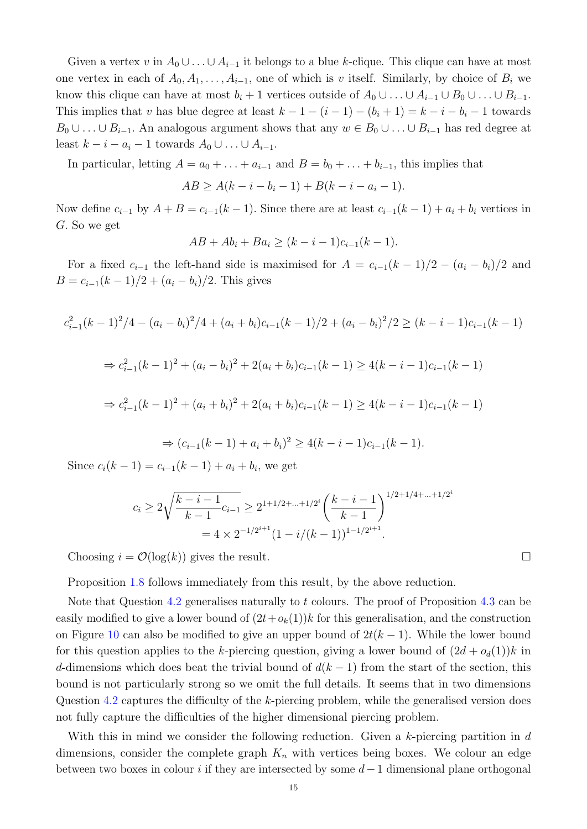Given a vertex v in  $A_0 \cup \ldots \cup A_{i-1}$  it belongs to a blue k-clique. This clique can have at most one vertex in each of  $A_0, A_1, \ldots, A_{i-1}$ , one of which is v itself. Similarly, by choice of  $B_i$  we know this clique can have at most  $b_i + 1$  vertices outside of  $A_0 \cup \ldots \cup A_{i-1} \cup B_0 \cup \ldots \cup B_{i-1}$ . This implies that v has blue degree at least  $k - 1 - (i - 1) - (b_i + 1) = k - i - b_i - 1$  towards  $B_0 \cup \ldots \cup B_{i-1}$ . An analogous argument shows that any  $w \in B_0 \cup \ldots \cup B_{i-1}$  has red degree at least  $k - i - a_i - 1$  towards  $A_0 \cup \ldots \cup A_{i-1}$ .

In particular, letting  $A = a_0 + \ldots + a_{i-1}$  and  $B = b_0 + \ldots + b_{i-1}$ , this implies that

$$
AB \ge A(k - i - b_i - 1) + B(k - i - a_i - 1).
$$

Now define  $c_{i-1}$  by  $A + B = c_{i-1}(k-1)$ . Since there are at least  $c_{i-1}(k-1) + a_i + b_i$  vertices in G. So we get

$$
AB + Ab_i + Ba_i \ge (k - i - 1)c_{i-1}(k - 1).
$$

For a fixed  $c_{i-1}$  the left-hand side is maximised for  $A = c_{i-1}(k-1)/2 - (a_i - b_i)/2$  and  $B = c_{i-1}(k-1)/2 + (a_i - b_i)/2$ . This gives

$$
c_{i-1}^{2}(k-1)^{2}/4 - (a_{i} - b_{i})^{2}/4 + (a_{i} + b_{i})c_{i-1}(k-1)/2 + (a_{i} - b_{i})^{2}/2 \geq (k - i - 1)c_{i-1}(k-1)
$$
  
\n
$$
\Rightarrow c_{i-1}^{2}(k-1)^{2} + (a_{i} - b_{i})^{2} + 2(a_{i} + b_{i})c_{i-1}(k-1) \geq 4(k - i - 1)c_{i-1}(k-1)
$$
  
\n
$$
\Rightarrow c_{i-1}^{2}(k-1)^{2} + (a_{i} + b_{i})^{2} + 2(a_{i} + b_{i})c_{i-1}(k-1) \geq 4(k - i - 1)c_{i-1}(k-1)
$$

$$
\Rightarrow (c_{i-1}(k-1) + a_i + b_i)^2 \ge 4(k-i-1)c_{i-1}(k-1).
$$

Since  $c_i(k-1) = c_{i-1}(k-1) + a_i + b_i$ , we get

$$
c_i \ge 2\sqrt{\frac{k-i-1}{k-1}}c_{i-1} \ge 2^{1+1/2+\dots+1/2^i} \left(\frac{k-i-1}{k-1}\right)^{1/2+1/4+\dots+1/2}
$$

$$
= 4 \times 2^{-1/2^{i+1}} (1-i/(k-1))^{1-1/2^{i+1}}.
$$

Choosing  $i = \mathcal{O}(\log(k))$  gives the result.

Proposition [1.8](#page-3-1) follows immediately from this result, by the above reduction.

Note that Question [4.2](#page-13-1) generalises naturally to t colours. The proof of Proposition [4.3](#page-13-2) can be easily modified to give a lower bound of  $(2t+o_k(1))k$  for this generalisation, and the construction on Figure [10](#page-13-0) can also be modified to give an upper bound of  $2t(k-1)$ . While the lower bound for this question applies to the k-piercing question, giving a lower bound of  $(2d + o_d(1))k$  in d-dimensions which does beat the trivial bound of  $d(k-1)$  from the start of the section, this bound is not particularly strong so we omit the full details. It seems that in two dimensions Question [4.2](#page-13-1) captures the difficulty of the k-piercing problem, while the generalised version does not fully capture the difficulties of the higher dimensional piercing problem.

With this in mind we consider the following reduction. Given a k-piercing partition in d dimensions, consider the complete graph  $K_n$  with vertices being boxes. We colour an edge between two boxes in colour i if they are intersected by some  $d-1$  dimensional plane orthogonal

i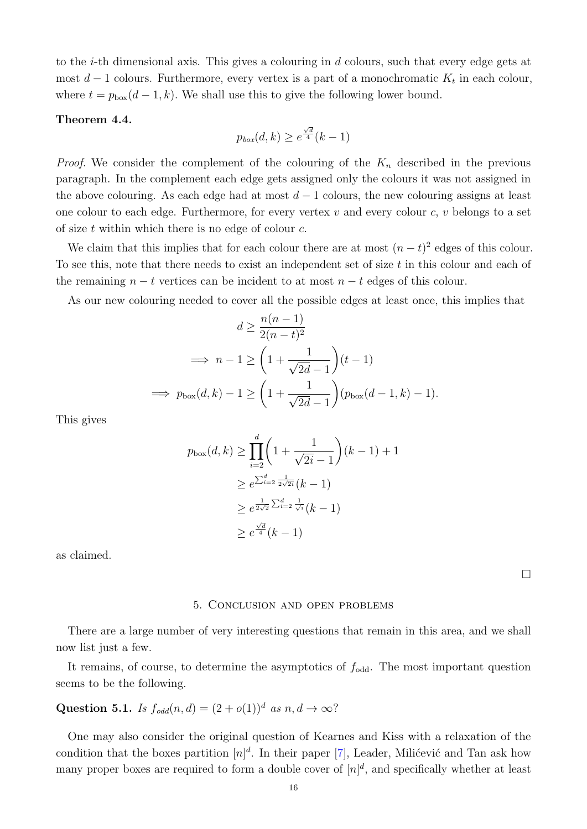to the i-th dimensional axis. This gives a colouring in d colours, such that every edge gets at most  $d-1$  colours. Furthermore, every vertex is a part of a monochromatic  $K_t$  in each colour, where  $t = p_{\text{box}}(d-1, k)$ . We shall use this to give the following lower bound.

### Theorem 4.4.

$$
p_{box}(d,k) \ge e^{\frac{\sqrt{d}}{4}}(k-1)
$$

*Proof.* We consider the complement of the colouring of the  $K_n$  described in the previous paragraph. In the complement each edge gets assigned only the colours it was not assigned in the above colouring. As each edge had at most  $d-1$  colours, the new colouring assigns at least one colour to each edge. Furthermore, for every vertex  $v$  and every colour  $c, v$  belongs to a set of size  $t$  within which there is no edge of colour  $c$ .

We claim that this implies that for each colour there are at most  $(n-t)^2$  edges of this colour. To see this, note that there needs to exist an independent set of size  $t$  in this colour and each of the remaining  $n - t$  vertices can be incident to at most  $n - t$  edges of this colour.

As our new colouring needed to cover all the possible edges at least once, this implies that

$$
d \ge \frac{n(n-1)}{2(n-t)^2}
$$
  
\n
$$
\implies n-1 \ge \left(1 + \frac{1}{\sqrt{2d}-1}\right)(t-1)
$$
  
\n
$$
\implies p_{\text{box}}(d,k) - 1 \ge \left(1 + \frac{1}{\sqrt{2d}-1}\right)(p_{\text{box}}(d-1,k) - 1).
$$

This gives

$$
p_{\text{box}}(d,k) \ge \prod_{i=2}^{d} \left(1 + \frac{1}{\sqrt{2i} - 1}\right)(k - 1) + 1
$$
  

$$
\ge e^{\sum_{i=2}^{d} \frac{1}{2\sqrt{2i}}}(k - 1)
$$
  

$$
\ge e^{\frac{1}{2\sqrt{2}} \sum_{i=2}^{d} \frac{1}{\sqrt{i}}}(k - 1)
$$
  

$$
\ge e^{\frac{\sqrt{d}}{4}}(k - 1)
$$

<span id="page-15-0"></span>as claimed.

 $\Box$ 

#### 5. Conclusion and open problems

There are a large number of very interesting questions that remain in this area, and we shall now list just a few.

It remains, of course, to determine the asymptotics of  $f_{odd}$ . The most important question seems to be the following.

# Question 5.1. Is  $f_{odd}(n,d) = (2+o(1))^d$  as  $n, d \rightarrow \infty$ ?

One may also consider the original question of Kearnes and Kiss with a relaxation of the condition that the boxes partition  $[n]^d$ . In their paper [\[7\]](#page-17-4), Leader, Milićević and Tan ask how many proper boxes are required to form a double cover of  $[n]^d$ , and specifically whether at least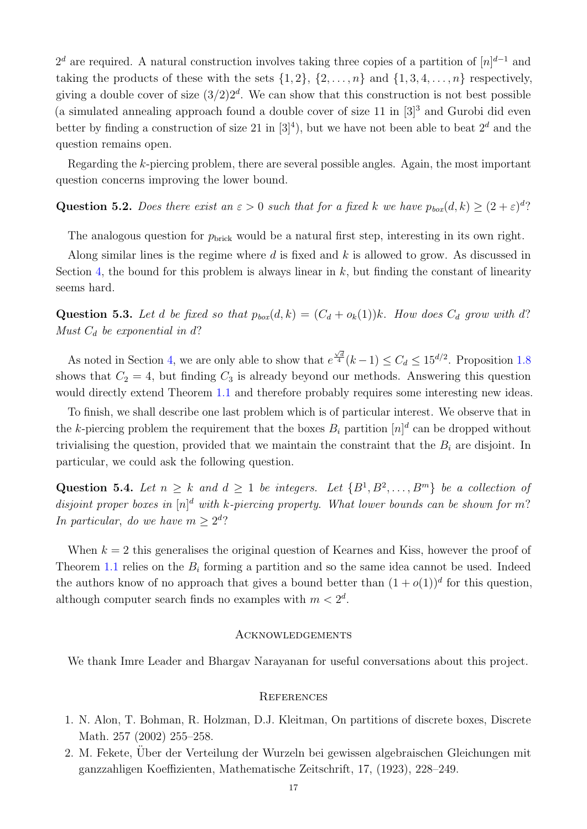$2^d$  are required. A natural construction involves taking three copies of a partition of  $[n]^{d-1}$  and taking the products of these with the sets  $\{1, 2\}$ ,  $\{2, \ldots, n\}$  and  $\{1, 3, 4, \ldots, n\}$  respectively, giving a double cover of size  $(3/2)2<sup>d</sup>$ . We can show that this construction is not best possible (a simulated annealing approach found a double cover of size  $11$  in  $[3]^3$  and Gurobi did even better by finding a construction of size 21 in  $[3]^4$ ), but we have not been able to beat  $2^d$  and the question remains open.

Regarding the k-piercing problem, there are several possible angles. Again, the most important question concerns improving the lower bound.

# Question 5.2. Does there exist an  $\varepsilon > 0$  such that for a fixed k we have  $p_{box}(d, k) \ge (2 + \varepsilon)^d$ ?

The analogous question for  $p_{\text{brick}}$  would be a natural first step, interesting in its own right.

Along similar lines is the regime where  $d$  is fixed and  $k$  is allowed to grow. As discussed in Section [4,](#page-6-0) the bound for this problem is always linear in  $k$ , but finding the constant of linearity seems hard.

Question 5.3. Let d be fixed so that  $p_{box}(d, k) = (C_d + o_k(1))k$ . How does  $C_d$  grow with d? Must  $C_d$  be exponential in d?

As noted in Section [4,](#page-6-0) we are only able to show that  $e$  $\frac{\sqrt{d}}{4}(k-1)$  ≤  $C_d$  ≤ 15<sup>d/2</sup>. Proposition [1.8](#page-3-1) shows that  $C_2 = 4$ , but finding  $C_3$  is already beyond our methods. Answering this question would directly extend Theorem [1.1](#page-0-0) and therefore probably requires some interesting new ideas.

To finish, we shall describe one last problem which is of particular interest. We observe that in the k-piercing problem the requirement that the boxes  $B_i$  partition  $[n]^d$  can be dropped without trivialising the question, provided that we maintain the constraint that the  $B_i$  are disjoint. In particular, we could ask the following question.

Question 5.4. Let  $n \geq k$  and  $d \geq 1$  be integers. Let  $\{B^1, B^2, \ldots, B^m\}$  be a collection of disjoint proper boxes in  $[n]^d$  with k-piercing property. What lower bounds can be shown for m? In particular, do we have  $m \geq 2^d$ ?

When  $k = 2$  this generalises the original question of Kearnes and Kiss, however the proof of Theorem [1.1](#page-0-0) relies on the  $B_i$  forming a partition and so the same idea cannot be used. Indeed the authors know of no approach that gives a bound better than  $(1 + o(1))^d$  for this question, although computer search finds no examples with  $m < 2<sup>d</sup>$ .

### **ACKNOWLEDGEMENTS**

We thank Imre Leader and Bhargav Narayanan for useful conversations about this project.

### **REFERENCES**

- <span id="page-16-0"></span>1. N. Alon, T. Bohman, R. Holzman, D.J. Kleitman, On partitions of discrete boxes, Discrete Math. 257 (2002) 255–258.
- <span id="page-16-1"></span>2. M. Fekete, Uber der Verteilung der Wurzeln bei gewissen algebraischen Gleichungen mit ¨ ganzzahligen Koeffizienten, Mathematische Zeitschrift, 17, (1923), 228–249.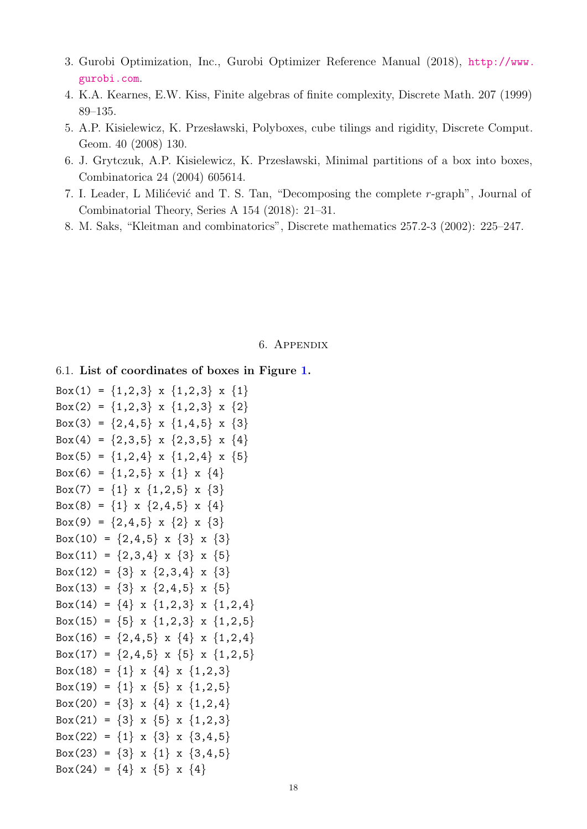- <span id="page-17-5"></span>3. Gurobi Optimization, Inc., Gurobi Optimizer Reference Manual (2018), [http://www.](http://www.gurobi.com) [gurobi.com](http://www.gurobi.com).
- <span id="page-17-0"></span>4. K.A. Kearnes, E.W. Kiss, Finite algebras of finite complexity, Discrete Math. 207 (1999) 89–135.
- <span id="page-17-2"></span>5. A.P. Kisielewicz, K. Przesławski, Polyboxes, cube tilings and rigidity, Discrete Comput. Geom. 40 (2008) 130.
- <span id="page-17-3"></span>6. J. Grytczuk, A.P. Kisielewicz, K. Przesławski, Minimal partitions of a box into boxes, Combinatorica 24 (2004) 605614.
- <span id="page-17-4"></span>7. I. Leader, L Milićević and T. S. Tan, "Decomposing the complete  $r$ -graph", Journal of Combinatorial Theory, Series A 154 (2018): 21–31.
- <span id="page-17-1"></span>8. M. Saks, "Kleitman and combinatorics", Discrete mathematics 257.2-3 (2002): 225–247.

### 6. Appendix

# 6.1. List of coordinates of boxes in Figure [1.](#page-1-0)

```
Box(1) = \{1,2,3\} x \{1,2,3\} x \{1\}Box(2) = \{1,2,3\} x \{1,2,3\} x \{2\}Box(3) = \{2,4,5\} x \{1,4,5\} x \{3\}Box(4) = \{2,3,5\} x \{2,3,5\} x \{4\}Box(5) = \{1,2,4\} x \{1,2,4\} x \{5\}Box(6) = \{1,2,5\} x \{1\} x \{4\}Box(7) = \{1\} x \{1,2,5\} x \{3\}Box(8) = \{1\} x \{2,4,5\} x \{4\}Box(9) = \{2,4,5\} x \{2\} x \{3\}Box(10) = \{2,4,5\} x \{3\} x \{3\}Box(11) = \{2,3,4\} x \{3\} x \{5\}Box(12) = \{3\} x \{2,3,4\} x \{3\}Box(13) = \{3\} x \{2,4,5\} x \{5\}Box(14) = \{4\} x \{1,2,3\} x \{1,2,4\}Box(15) = \{5\} x \{1,2,3\} x \{1,2,5\}Box(16) = \{2,4,5\} x \{4\} x \{1,2,4\}Box(17) = \{2,4,5\} x \{5\} x \{1,2,5\}Box(18) = \{1\} x \{4\} x \{1,2,3\}Box(19) = \{1\} x \{5\} x \{1,2,5\}Box(20) = \{3\} x \{4\} x \{1,2,4\}Box(21) = \{3\} x \{5\} x \{1,2,3\}Box(22) = \{1\} x \{3\} x \{3, 4, 5\}Box(23) = \{3\} x \{1\} x \{3,4,5\}Box(24) = {4} x {5} x {4}
```